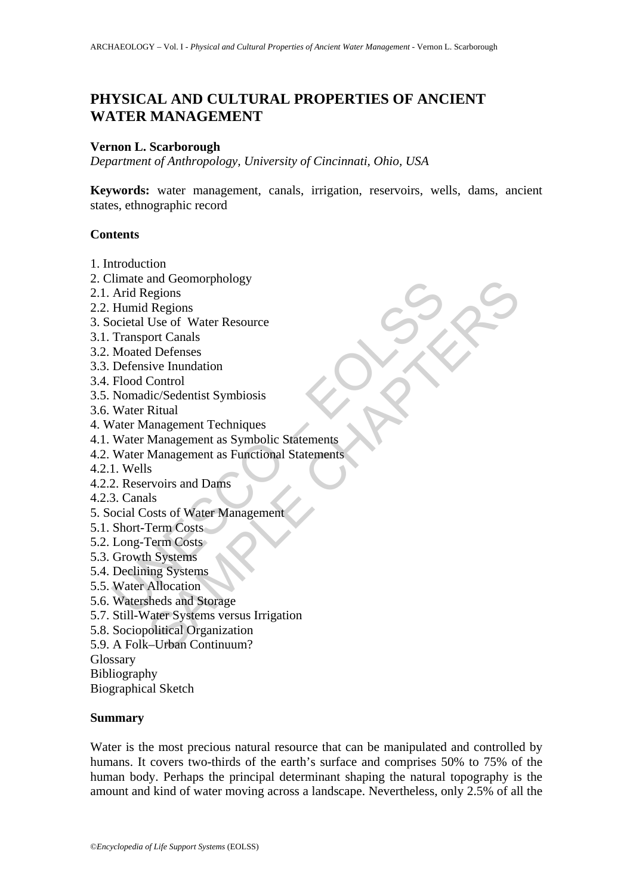# **PHYSICAL AND CULTURAL PROPERTIES OF ANCIENT WATER MANAGEMENT**

#### **Vernon L. Scarborough**

*Department of Anthropology, University of Cincinnati, Ohio, USA* 

**Keywords:** water management, canals, irrigation, reservoirs, wells, dams, ancient states, ethnographic record

#### **Contents**

- 1. Introduction
- 2. Climate and Geomorphology
- 2.1. Arid Regions
- 2.2. Humid Regions
- 3. Societal Use of Water Resource
- 3.1. Transport Canals
- 3.2. Moated Defenses
- 3.3. Defensive Inundation
- 3.4. Flood Control
- 3.5. Nomadic/Sedentist Symbiosis
- 3.6. Water Ritual
- 4. Water Management Techniques
- 4.1. Water Management as Symbolic Statements
- make and decomorphonogy<br>Arid Regions<br>Humid Regions<br>Coietal Use of Water Resource<br>Transport Canals<br>Moated Defenses<br>Moated Defenses<br>Folood Control<br>Flood Control<br>Nomadic/Sedentist Symbiosis<br>Water Ritual<br>Water Management as Sy and Geomorphology<br>eigions<br>regions<br>Is Regions<br>and Defenses<br>do Defenses<br>sive Inundation<br>Control<br>Riturgalement as Symbolic Statements<br>Management as Symbolic Statements<br>Management as Functional Statements<br>Sa Rivoirs and Dams<br>I 4.2. Water Management as Functional Statements
- 4.2.1. Wells
- 4.2.2. Reservoirs and Dams
- 4.2.3. Canals
- 5. Social Costs of Water Management
- 5.1. Short-Term Costs
- 5.2. Long-Term Costs
- 5.3. Growth Systems
- 5.4. Declining Systems
- 5.5. Water Allocation
- 5.6. Watersheds and Storage
- 5.7. Still-Water Systems versus Irrigation
- 5.8. Sociopolitical Organization
- 5.9. A Folk–Urban Continuum?

Glossary

Bibliography

Biographical Sketch

#### **Summary**

Water is the most precious natural resource that can be manipulated and controlled by humans. It covers two-thirds of the earth's surface and comprises 50% to 75% of the human body. Perhaps the principal determinant shaping the natural topography is the amount and kind of water moving across a landscape. Nevertheless, only 2.5% of all the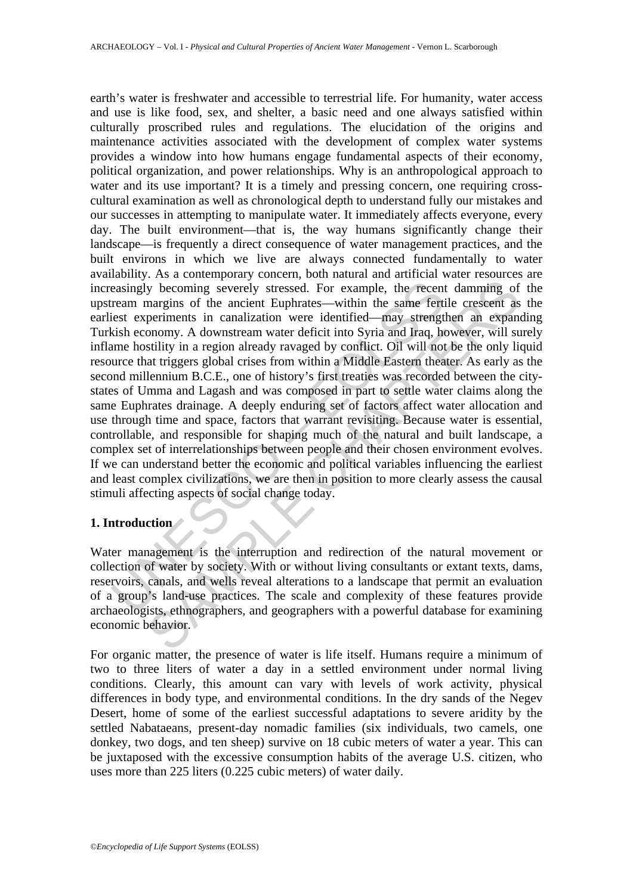easingly becoming severely stressed. For example, the recent<br>ream margins of the ancient Euphrates—within the same fertiest<br>experiments in canalization were identified—may strengt<br>kish economy. A downstream water deficit i y becoming severely stressed. For example, the recent damming of nargins of the ancient Euphrates—within the same fertile crescent as paralization were identified—may strengthen an expansion compay. A downstream water defi earth's water is freshwater and accessible to terrestrial life. For humanity, water access and use is like food, sex, and shelter, a basic need and one always satisfied within culturally proscribed rules and regulations. The elucidation of the origins and maintenance activities associated with the development of complex water systems provides a window into how humans engage fundamental aspects of their economy, political organization, and power relationships. Why is an anthropological approach to water and its use important? It is a timely and pressing concern, one requiring crosscultural examination as well as chronological depth to understand fully our mistakes and our successes in attempting to manipulate water. It immediately affects everyone, every day. The built environment—that is, the way humans significantly change their landscape—is frequently a direct consequence of water management practices, and the built environs in which we live are always connected fundamentally to water availability. As a contemporary concern, both natural and artificial water resources are increasingly becoming severely stressed. For example, the recent damming of the upstream margins of the ancient Euphrates—within the same fertile crescent as the earliest experiments in canalization were identified—may strengthen an expanding Turkish economy. A downstream water deficit into Syria and Iraq, however, will surely inflame hostility in a region already ravaged by conflict. Oil will not be the only liquid resource that triggers global crises from within a Middle Eastern theater. As early as the second millennium B.C.E., one of history's first treaties was recorded between the citystates of Umma and Lagash and was composed in part to settle water claims along the same Euphrates drainage. A deeply enduring set of factors affect water allocation and use through time and space, factors that warrant revisiting. Because water is essential, controllable, and responsible for shaping much of the natural and built landscape, a complex set of interrelationships between people and their chosen environment evolves. If we can understand better the economic and political variables influencing the earliest and least complex civilizations, we are then in position to more clearly assess the causal stimuli affecting aspects of social change today.

#### **1. Introduction**

Water management is the interruption and redirection of the natural movement or collection of water by society. With or without living consultants or extant texts, dams, reservoirs, canals, and wells reveal alterations to a landscape that permit an evaluation of a group's land-use practices. The scale and complexity of these features provide archaeologists, ethnographers, and geographers with a powerful database for examining economic behavior.

For organic matter, the presence of water is life itself. Humans require a minimum of two to three liters of water a day in a settled environment under normal living conditions. Clearly, this amount can vary with levels of work activity, physical differences in body type, and environmental conditions. In the dry sands of the Negev Desert, home of some of the earliest successful adaptations to severe aridity by the settled Nabataeans, present-day nomadic families (six individuals, two camels, one donkey, two dogs, and ten sheep) survive on 18 cubic meters of water a year. This can be juxtaposed with the excessive consumption habits of the average U.S. citizen, who uses more than 225 liters (0.225 cubic meters) of water daily.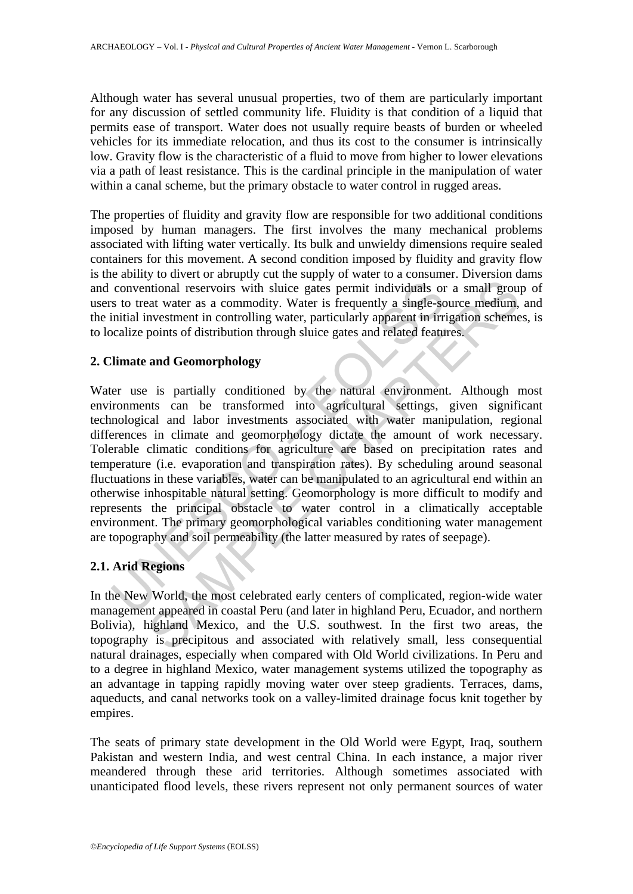Although water has several unusual properties, two of them are particularly important for any discussion of settled community life. Fluidity is that condition of a liquid that permits ease of transport. Water does not usually require beasts of burden or wheeled vehicles for its immediate relocation, and thus its cost to the consumer is intrinsically low. Gravity flow is the characteristic of a fluid to move from higher to lower elevations via a path of least resistance. This is the cardinal principle in the manipulation of water within a canal scheme, but the primary obstacle to water control in rugged areas.

The properties of fluidity and gravity flow are responsible for two additional conditions imposed by human managers. The first involves the many mechanical problems associated with lifting water vertically. Its bulk and unwieldy dimensions require sealed containers for this movement. A second condition imposed by fluidity and gravity flow is the ability to divert or abruptly cut the supply of water to a consumer. Diversion dams and conventional reservoirs with sluice gates permit individuals or a small group of users to treat water as a commodity. Water is frequently a single-source medium, and the initial investment in controlling water, particularly apparent in irrigation schemes, is to localize points of distribution through sluice gates and related features.

# **2. Climate and Geomorphology**

conventional reservoirs with sluice gates permit individuals or<br>s to treat water as a commodity. Water is frequently a single-sc<br>initial investment in controlling water, particularly apparent in irr<br>coalize points of distr infinional reservoirs with sluice gates permit individuals or a small grout<br>at water as a commodity. Water is frequently a single-source medium,<br>nvestment in controlling water, particularly apparent in irrigation scheme<br>po Water use is partially conditioned by the natural environment. Although most environments can be transformed into agricultural settings, given significant technological and labor investments associated with water manipulation, regional differences in climate and geomorphology dictate the amount of work necessary. Tolerable climatic conditions for agriculture are based on precipitation rates and temperature (i.e. evaporation and transpiration rates). By scheduling around seasonal fluctuations in these variables, water can be manipulated to an agricultural end within an otherwise inhospitable natural setting. Geomorphology is more difficult to modify and represents the principal obstacle to water control in a climatically acceptable environment. The primary geomorphological variables conditioning water management are topography and soil permeability (the latter measured by rates of seepage).

## **2.1. Arid Regions**

In the New World, the most celebrated early centers of complicated, region-wide water management appeared in coastal Peru (and later in highland Peru, Ecuador, and northern Bolivia), highland Mexico, and the U.S. southwest. In the first two areas, the topography is precipitous and associated with relatively small, less consequential natural drainages, especially when compared with Old World civilizations. In Peru and to a degree in highland Mexico, water management systems utilized the topography as an advantage in tapping rapidly moving water over steep gradients. Terraces, dams, aqueducts, and canal networks took on a valley-limited drainage focus knit together by empires.

The seats of primary state development in the Old World were Egypt, Iraq, southern Pakistan and western India, and west central China. In each instance, a major river meandered through these arid territories. Although sometimes associated with unanticipated flood levels, these rivers represent not only permanent sources of water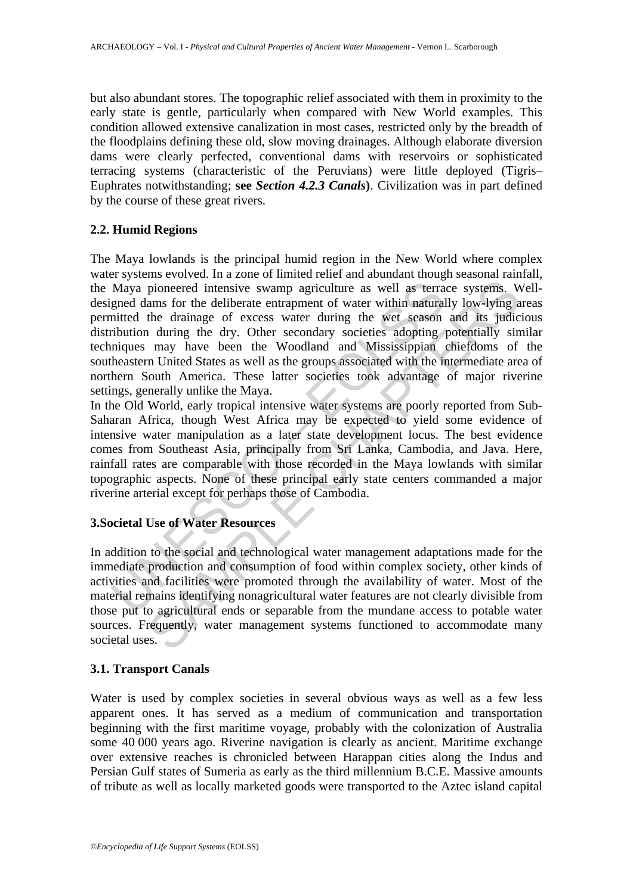but also abundant stores. The topographic relief associated with them in proximity to the early state is gentle, particularly when compared with New World examples. This condition allowed extensive canalization in most cases, restricted only by the breadth of the floodplains defining these old, slow moving drainages. Although elaborate diversion dams were clearly perfected, conventional dams with reservoirs or sophisticated terracing systems (characteristic of the Peruvians) were little deployed (Tigris– Euphrates notwithstanding; **see** *Section 4.2.3 Canals***)**. Civilization was in part defined by the course of these great rivers.

# **2.2. Humid Regions**

Maya pioneered intensive swamp agriculture as well as terrayed dams for the deliberate entrapment of water within natural<br>mitted the drainage of excess water during the wet season<br>ribution during the dry. Other secondary s pioneered intensive swamp agriculture as well as terrace systems. We<br>ms for the deliberate entrapment of water within naturally low-lying a<br>the drainage of excess water during the wet season and its judic<br>n during the dry. The Maya lowlands is the principal humid region in the New World where complex water systems evolved. In a zone of limited relief and abundant though seasonal rainfall, the Maya pioneered intensive swamp agriculture as well as terrace systems. Welldesigned dams for the deliberate entrapment of water within naturally low-lying areas permitted the drainage of excess water during the wet season and its judicious distribution during the dry. Other secondary societies adopting potentially similar techniques may have been the Woodland and Mississippian chiefdoms of the southeastern United States as well as the groups associated with the intermediate area of northern South America. These latter societies took advantage of major riverine settings, generally unlike the Maya.

In the Old World, early tropical intensive water systems are poorly reported from Sub-Saharan Africa, though West Africa may be expected to yield some evidence of intensive water manipulation as a later state development locus. The best evidence comes from Southeast Asia, principally from Sri Lanka, Cambodia, and Java. Here, rainfall rates are comparable with those recorded in the Maya lowlands with similar topographic aspects. None of these principal early state centers commanded a major riverine arterial except for perhaps those of Cambodia.

# **3.Societal Use of Water Resources**

In addition to the social and technological water management adaptations made for the immediate production and consumption of food within complex society, other kinds of activities and facilities were promoted through the availability of water. Most of the material remains identifying nonagricultural water features are not clearly divisible from those put to agricultural ends or separable from the mundane access to potable water sources. Frequently, water management systems functioned to accommodate many societal uses.

## **3.1. Transport Canals**

Water is used by complex societies in several obvious ways as well as a few less apparent ones. It has served as a medium of communication and transportation beginning with the first maritime voyage, probably with the colonization of Australia some 40 000 years ago. Riverine navigation is clearly as ancient. Maritime exchange over extensive reaches is chronicled between Harappan cities along the Indus and Persian Gulf states of Sumeria as early as the third millennium B.C.E. Massive amounts of tribute as well as locally marketed goods were transported to the Aztec island capital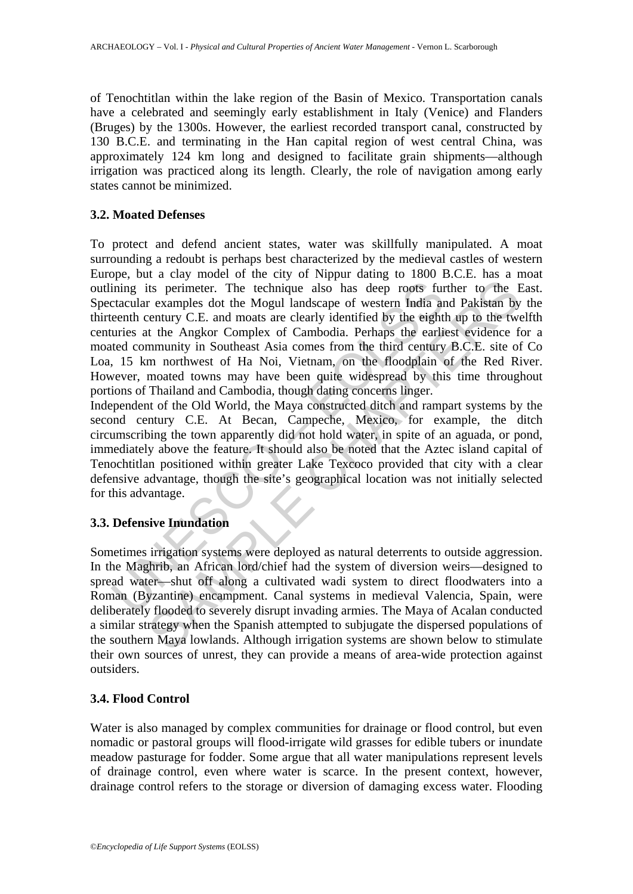of Tenochtitlan within the lake region of the Basin of Mexico. Transportation canals have a celebrated and seemingly early establishment in Italy (Venice) and Flanders (Bruges) by the 1300s. However, the earliest recorded transport canal, constructed by 130 B.C.E. and terminating in the Han capital region of west central China, was approximately 124 km long and designed to facilitate grain shipments—although irrigation was practiced along its length. Clearly, the role of navigation among early states cannot be minimized.

## **3.2. Moated Defenses**

ining its perimeter. The technique also has deep roots further ining its perimeter. The technique also has deep roots further detectival and the Mogul landscape of western India are<br>enth century C.E. and moats are clearly its perimeter. The technique also has deep roots further to the F<br>rexamples dot the Mogul landscape of western India and Pakistan by<br>century C.E. and moas are clearly identified by the eighth up to the two<br>tt the Angkor Co To protect and defend ancient states, water was skillfully manipulated. A moat surrounding a redoubt is perhaps best characterized by the medieval castles of western Europe, but a clay model of the city of Nippur dating to 1800 B.C.E. has a moat outlining its perimeter. The technique also has deep roots further to the East. Spectacular examples dot the Mogul landscape of western India and Pakistan by the thirteenth century C.E. and moats are clearly identified by the eighth up to the twelfth centuries at the Angkor Complex of Cambodia. Perhaps the earliest evidence for a moated community in Southeast Asia comes from the third century B.C.E. site of Co Loa, 15 km northwest of Ha Noi, Vietnam, on the floodplain of the Red River. However, moated towns may have been quite widespread by this time throughout portions of Thailand and Cambodia, though dating concerns linger.

Independent of the Old World, the Maya constructed ditch and rampart systems by the second century C.E. At Becan, Campeche, Mexico, for example, the ditch circumscribing the town apparently did not hold water, in spite of an aguada, or pond, immediately above the feature. It should also be noted that the Aztec island capital of Tenochtitlan positioned within greater Lake Texcoco provided that city with a clear defensive advantage, though the site's geographical location was not initially selected for this advantage.

## **3.3. Defensive Inundation**

Sometimes irrigation systems were deployed as natural deterrents to outside aggression. In the Maghrib, an African lord/chief had the system of diversion weirs—designed to spread water—shut off along a cultivated wadi system to direct floodwaters into a Roman (Byzantine) encampment. Canal systems in medieval Valencia, Spain, were deliberately flooded to severely disrupt invading armies. The Maya of Acalan conducted a similar strategy when the Spanish attempted to subjugate the dispersed populations of the southern Maya lowlands. Although irrigation systems are shown below to stimulate their own sources of unrest, they can provide a means of area-wide protection against outsiders.

# **3.4. Flood Control**

Water is also managed by complex communities for drainage or flood control, but even nomadic or pastoral groups will flood-irrigate wild grasses for edible tubers or inundate meadow pasturage for fodder. Some argue that all water manipulations represent levels of drainage control, even where water is scarce. In the present context, however, drainage control refers to the storage or diversion of damaging excess water. Flooding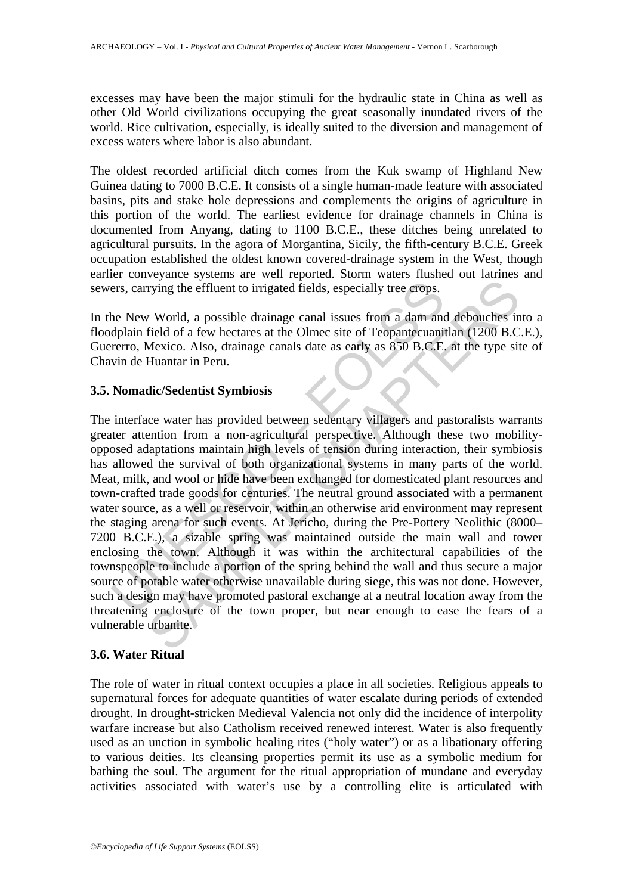excesses may have been the major stimuli for the hydraulic state in China as well as other Old World civilizations occupying the great seasonally inundated rivers of the world. Rice cultivation, especially, is ideally suited to the diversion and management of excess waters where labor is also abundant.

The oldest recorded artificial ditch comes from the Kuk swamp of Highland New Guinea dating to 7000 B.C.E. It consists of a single human-made feature with associated basins, pits and stake hole depressions and complements the origins of agriculture in this portion of the world. The earliest evidence for drainage channels in China is documented from Anyang, dating to 1100 B.C.E., these ditches being unrelated to agricultural pursuits. In the agora of Morgantina, Sicily, the fifth-century B.C.E. Greek occupation established the oldest known covered-drainage system in the West, though earlier conveyance systems are well reported. Storm waters flushed out latrines and sewers, carrying the effluent to irrigated fields, especially tree crops.

In the New World, a possible drainage canal issues from a dam and debouches into a floodplain field of a few hectares at the Olmec site of Teopantecuanitlan (1200 B.C.E.), Guererro, Mexico. Also, drainage canals date as early as 850 B.C.E. at the type site of Chavin de Huantar in Peru.

## **3.5. Nomadic/Sedentist Symbiosis**

ers, carrying the effluent to irrigated fields, especially tree erops.<br>
he New World, a possible drainage canal issues from a dam and<br>
dplain field of a few hectares at the Olmec site of Teopantecuanin<br>
of particular and A Trying the effluent to irrigated fields, especially tree erops.<br>
Y World, a possible drainage canal issues from a dam and debouches in<br>
field of a few hectares at the Olmec site of Teopantecuanitlan (1200 B.C<br>
Mexico. Also The interface water has provided between sedentary villagers and pastoralists warrants greater attention from a non-agricultural perspective. Although these two mobilityopposed adaptations maintain high levels of tension during interaction, their symbiosis has allowed the survival of both organizational systems in many parts of the world. Meat, milk, and wool or hide have been exchanged for domesticated plant resources and town-crafted trade goods for centuries. The neutral ground associated with a permanent water source, as a well or reservoir, within an otherwise arid environment may represent the staging arena for such events. At Jericho, during the Pre-Pottery Neolithic (8000– 7200 B.C.E.), a sizable spring was maintained outside the main wall and tower enclosing the town. Although it was within the architectural capabilities of the townspeople to include a portion of the spring behind the wall and thus secure a major source of potable water otherwise unavailable during siege, this was not done. However, such a design may have promoted pastoral exchange at a neutral location away from the threatening enclosure of the town proper, but near enough to ease the fears of a vulnerable urbanite.

## **3.6. Water Ritual**

The role of water in ritual context occupies a place in all societies. Religious appeals to supernatural forces for adequate quantities of water escalate during periods of extended drought. In drought-stricken Medieval Valencia not only did the incidence of interpolity warfare increase but also Catholism received renewed interest. Water is also frequently used as an unction in symbolic healing rites ("holy water") or as a libationary offering to various deities. Its cleansing properties permit its use as a symbolic medium for bathing the soul. The argument for the ritual appropriation of mundane and everyday activities associated with water's use by a controlling elite is articulated with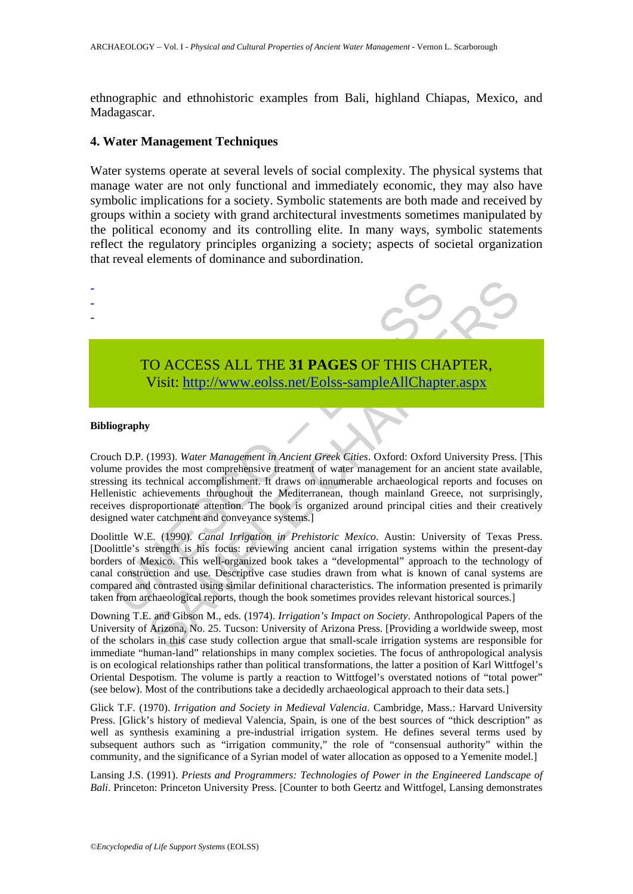ethnographic and ethnohistoric examples from Bali, highland Chiapas, Mexico, and Madagascar.

#### **4. Water Management Techniques**

Water systems operate at several levels of social complexity. The physical systems that manage water are not only functional and immediately economic, they may also have symbolic implications for a society. Symbolic statements are both made and received by groups within a society with grand architectural investments sometimes manipulated by the political economy and its controlling elite. In many ways, symbolic statements reflect the regulatory principles organizing a society; aspects of societal organization that reveal elements of dominance and subordination.



# TO ACCESS ALL THE **31 PAGES** OF THIS CHAPTER, Visit: http://www.eolss.net/Eolss-sampleAllChapter.aspx

#### **Bibliography**

- - -

TO ACCESS ALL THE 31 PAGES OF THIS CHANNEL Visit: http://www.eolss.net/Eolss-sampleAllChapte<br>
Visit: http://www.eolss.net/Eolss-sampleAllChapte<br>
iography<br>
iography<br>
of D.P. (1993). Water Management in Ancient Greek Cities. CO ACCESS ALL THE 31 PAGES OF THIS CH[APTE](https://www.eolss.net/ebooklib/sc_cart.aspx?File=E6-21-02-06)R,<br>Visit:  $\frac{http://www.eolss.net/Eolss-sampleAllChapter aspx}{http://www.eolss.net/Eolss-sampleAllChapter aspx}$ <br>(1993). *Water Management in Ancient Greek Cities*. Oxford: Oxford University Press.<br>(alse the most comprehensive freatment of wat Crouch D.P. (1993). *Water Management in Ancient Greek Cities*. Oxford: Oxford University Press. [This volume provides the most comprehensive treatment of water management for an ancient state available, stressing its technical accomplishment. It draws on innumerable archaeological reports and focuses on Hellenistic achievements throughout the Mediterranean, though mainland Greece, not surprisingly, receives disproportionate attention. The book is organized around principal cities and their creatively designed water catchment and conveyance systems.]

Doolittle W.E. (1990). *Canal Irrigation in Prehistoric Mexico*. Austin: University of Texas Press. [Doolittle's strength is his focus: reviewing ancient canal irrigation systems within the present-day borders of Mexico. This well-organized book takes a "developmental" approach to the technology of canal construction and use. Descriptive case studies drawn from what is known of canal systems are compared and contrasted using similar definitional characteristics. The information presented is primarily taken from archaeological reports, though the book sometimes provides relevant historical sources.]

Downing T.E. and Gibson M., eds. (1974). *Irrigation's Impact on Society*. Anthropological Papers of the University of Arizona, No. 25. Tucson: University of Arizona Press. [Providing a worldwide sweep, most of the scholars in this case study collection argue that small-scale irrigation systems are responsible for immediate "human-land" relationships in many complex societies. The focus of anthropological analysis is on ecological relationships rather than political transformations, the latter a position of Karl Wittfogel's Oriental Despotism. The volume is partly a reaction to Wittfogel's overstated notions of "total power" (see below). Most of the contributions take a decidedly archaeological approach to their data sets.]

Glick T.F. (1970). *Irrigation and Society in Medieval Valencia*. Cambridge, Mass.: Harvard University Press. [Glick's history of medieval Valencia, Spain, is one of the best sources of "thick description" as well as synthesis examining a pre-industrial irrigation system. He defines several terms used by subsequent authors such as "irrigation community," the role of "consensual authority" within the community, and the significance of a Syrian model of water allocation as opposed to a Yemenite model.]

Lansing J.S. (1991). *Priests and Programmers: Technologies of Power in the Engineered Landscape of Bali*. Princeton: Princeton University Press. [Counter to both Geertz and Wittfogel, Lansing demonstrates